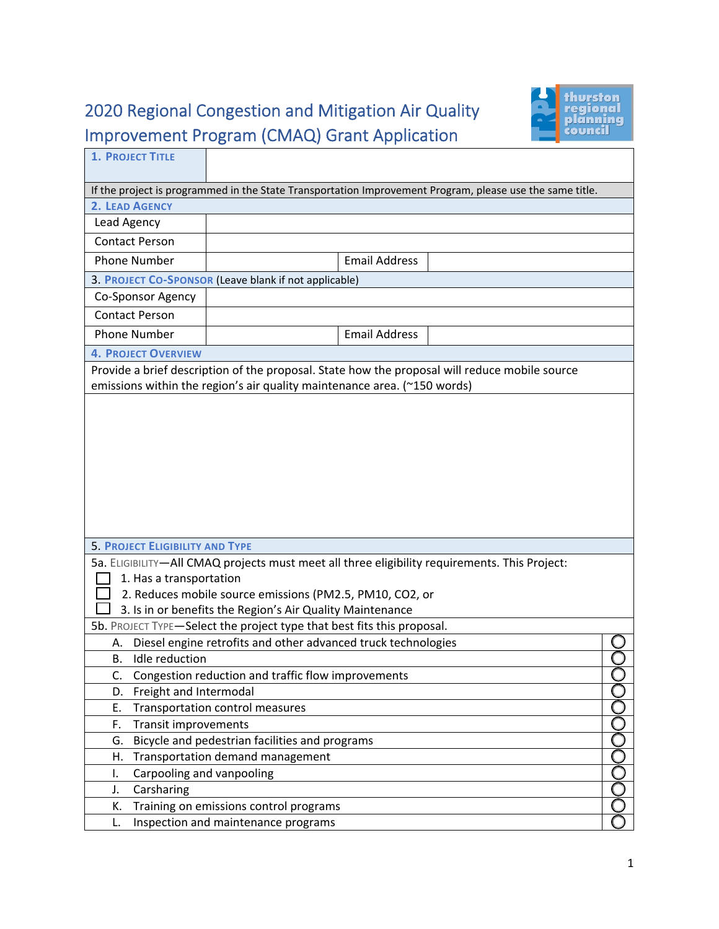## 2020 Regional Congestion and Mitigation Air Quality Improvement Program (CMAQ) Grant Application



| If the project is programmed in the State Transportation Improvement Program, please use the same title.<br>2. LEAD AGENCY<br>Lead Agency<br><b>Contact Person</b><br><b>Email Address</b><br><b>Phone Number</b><br>3. PROJECT CO-SPONSOR (Leave blank if not applicable)<br>Co-Sponsor Agency<br><b>Contact Person</b><br><b>Email Address</b><br><b>Phone Number</b><br><b>4. PROJECT OVERVIEW</b><br>Provide a brief description of the proposal. State how the proposal will reduce mobile source<br>emissions within the region's air quality maintenance area. (~150 words)<br><b>5. PROJECT ELIGIBILITY AND TYPE</b><br>5a. ELIGIBILITY-All CMAQ projects must meet all three eligibility requirements. This Project:<br>1. Has a transportation<br>2. Reduces mobile source emissions (PM2.5, PM10, CO2, or<br>3. Is in or benefits the Region's Air Quality Maintenance<br>5b. PROJECT TYPE-Select the project type that best fits this proposal.<br>Diesel engine retrofits and other advanced truck technologies<br>А.<br>Idle reduction<br>В.<br>Congestion reduction and traffic flow improvements<br>C.<br>Freight and Intermodal<br>D.<br>Ε.<br>Transportation control measures<br><b>Transit improvements</b><br>F.<br>ŎŎŎ<br>Bicycle and pedestrian facilities and programs<br>G.<br>Transportation demand management<br>Н.<br>Carpooling and vanpooling<br>I.<br>Carsharing<br>J. | <b>1. PROJECT TITLE</b> |  |  |  |  |
|------------------------------------------------------------------------------------------------------------------------------------------------------------------------------------------------------------------------------------------------------------------------------------------------------------------------------------------------------------------------------------------------------------------------------------------------------------------------------------------------------------------------------------------------------------------------------------------------------------------------------------------------------------------------------------------------------------------------------------------------------------------------------------------------------------------------------------------------------------------------------------------------------------------------------------------------------------------------------------------------------------------------------------------------------------------------------------------------------------------------------------------------------------------------------------------------------------------------------------------------------------------------------------------------------------------------------------------------------------------------------------------------------|-------------------------|--|--|--|--|
|                                                                                                                                                                                                                                                                                                                                                                                                                                                                                                                                                                                                                                                                                                                                                                                                                                                                                                                                                                                                                                                                                                                                                                                                                                                                                                                                                                                                      |                         |  |  |  |  |
|                                                                                                                                                                                                                                                                                                                                                                                                                                                                                                                                                                                                                                                                                                                                                                                                                                                                                                                                                                                                                                                                                                                                                                                                                                                                                                                                                                                                      |                         |  |  |  |  |
|                                                                                                                                                                                                                                                                                                                                                                                                                                                                                                                                                                                                                                                                                                                                                                                                                                                                                                                                                                                                                                                                                                                                                                                                                                                                                                                                                                                                      |                         |  |  |  |  |
|                                                                                                                                                                                                                                                                                                                                                                                                                                                                                                                                                                                                                                                                                                                                                                                                                                                                                                                                                                                                                                                                                                                                                                                                                                                                                                                                                                                                      |                         |  |  |  |  |
|                                                                                                                                                                                                                                                                                                                                                                                                                                                                                                                                                                                                                                                                                                                                                                                                                                                                                                                                                                                                                                                                                                                                                                                                                                                                                                                                                                                                      |                         |  |  |  |  |
|                                                                                                                                                                                                                                                                                                                                                                                                                                                                                                                                                                                                                                                                                                                                                                                                                                                                                                                                                                                                                                                                                                                                                                                                                                                                                                                                                                                                      |                         |  |  |  |  |
|                                                                                                                                                                                                                                                                                                                                                                                                                                                                                                                                                                                                                                                                                                                                                                                                                                                                                                                                                                                                                                                                                                                                                                                                                                                                                                                                                                                                      |                         |  |  |  |  |
|                                                                                                                                                                                                                                                                                                                                                                                                                                                                                                                                                                                                                                                                                                                                                                                                                                                                                                                                                                                                                                                                                                                                                                                                                                                                                                                                                                                                      |                         |  |  |  |  |
|                                                                                                                                                                                                                                                                                                                                                                                                                                                                                                                                                                                                                                                                                                                                                                                                                                                                                                                                                                                                                                                                                                                                                                                                                                                                                                                                                                                                      |                         |  |  |  |  |
|                                                                                                                                                                                                                                                                                                                                                                                                                                                                                                                                                                                                                                                                                                                                                                                                                                                                                                                                                                                                                                                                                                                                                                                                                                                                                                                                                                                                      |                         |  |  |  |  |
|                                                                                                                                                                                                                                                                                                                                                                                                                                                                                                                                                                                                                                                                                                                                                                                                                                                                                                                                                                                                                                                                                                                                                                                                                                                                                                                                                                                                      |                         |  |  |  |  |
|                                                                                                                                                                                                                                                                                                                                                                                                                                                                                                                                                                                                                                                                                                                                                                                                                                                                                                                                                                                                                                                                                                                                                                                                                                                                                                                                                                                                      |                         |  |  |  |  |
|                                                                                                                                                                                                                                                                                                                                                                                                                                                                                                                                                                                                                                                                                                                                                                                                                                                                                                                                                                                                                                                                                                                                                                                                                                                                                                                                                                                                      |                         |  |  |  |  |
|                                                                                                                                                                                                                                                                                                                                                                                                                                                                                                                                                                                                                                                                                                                                                                                                                                                                                                                                                                                                                                                                                                                                                                                                                                                                                                                                                                                                      |                         |  |  |  |  |
|                                                                                                                                                                                                                                                                                                                                                                                                                                                                                                                                                                                                                                                                                                                                                                                                                                                                                                                                                                                                                                                                                                                                                                                                                                                                                                                                                                                                      |                         |  |  |  |  |
|                                                                                                                                                                                                                                                                                                                                                                                                                                                                                                                                                                                                                                                                                                                                                                                                                                                                                                                                                                                                                                                                                                                                                                                                                                                                                                                                                                                                      |                         |  |  |  |  |
|                                                                                                                                                                                                                                                                                                                                                                                                                                                                                                                                                                                                                                                                                                                                                                                                                                                                                                                                                                                                                                                                                                                                                                                                                                                                                                                                                                                                      |                         |  |  |  |  |
|                                                                                                                                                                                                                                                                                                                                                                                                                                                                                                                                                                                                                                                                                                                                                                                                                                                                                                                                                                                                                                                                                                                                                                                                                                                                                                                                                                                                      |                         |  |  |  |  |
|                                                                                                                                                                                                                                                                                                                                                                                                                                                                                                                                                                                                                                                                                                                                                                                                                                                                                                                                                                                                                                                                                                                                                                                                                                                                                                                                                                                                      |                         |  |  |  |  |
|                                                                                                                                                                                                                                                                                                                                                                                                                                                                                                                                                                                                                                                                                                                                                                                                                                                                                                                                                                                                                                                                                                                                                                                                                                                                                                                                                                                                      |                         |  |  |  |  |
|                                                                                                                                                                                                                                                                                                                                                                                                                                                                                                                                                                                                                                                                                                                                                                                                                                                                                                                                                                                                                                                                                                                                                                                                                                                                                                                                                                                                      |                         |  |  |  |  |
|                                                                                                                                                                                                                                                                                                                                                                                                                                                                                                                                                                                                                                                                                                                                                                                                                                                                                                                                                                                                                                                                                                                                                                                                                                                                                                                                                                                                      |                         |  |  |  |  |
|                                                                                                                                                                                                                                                                                                                                                                                                                                                                                                                                                                                                                                                                                                                                                                                                                                                                                                                                                                                                                                                                                                                                                                                                                                                                                                                                                                                                      |                         |  |  |  |  |
|                                                                                                                                                                                                                                                                                                                                                                                                                                                                                                                                                                                                                                                                                                                                                                                                                                                                                                                                                                                                                                                                                                                                                                                                                                                                                                                                                                                                      |                         |  |  |  |  |
|                                                                                                                                                                                                                                                                                                                                                                                                                                                                                                                                                                                                                                                                                                                                                                                                                                                                                                                                                                                                                                                                                                                                                                                                                                                                                                                                                                                                      |                         |  |  |  |  |
|                                                                                                                                                                                                                                                                                                                                                                                                                                                                                                                                                                                                                                                                                                                                                                                                                                                                                                                                                                                                                                                                                                                                                                                                                                                                                                                                                                                                      |                         |  |  |  |  |
|                                                                                                                                                                                                                                                                                                                                                                                                                                                                                                                                                                                                                                                                                                                                                                                                                                                                                                                                                                                                                                                                                                                                                                                                                                                                                                                                                                                                      |                         |  |  |  |  |
|                                                                                                                                                                                                                                                                                                                                                                                                                                                                                                                                                                                                                                                                                                                                                                                                                                                                                                                                                                                                                                                                                                                                                                                                                                                                                                                                                                                                      |                         |  |  |  |  |
|                                                                                                                                                                                                                                                                                                                                                                                                                                                                                                                                                                                                                                                                                                                                                                                                                                                                                                                                                                                                                                                                                                                                                                                                                                                                                                                                                                                                      |                         |  |  |  |  |
|                                                                                                                                                                                                                                                                                                                                                                                                                                                                                                                                                                                                                                                                                                                                                                                                                                                                                                                                                                                                                                                                                                                                                                                                                                                                                                                                                                                                      |                         |  |  |  |  |
|                                                                                                                                                                                                                                                                                                                                                                                                                                                                                                                                                                                                                                                                                                                                                                                                                                                                                                                                                                                                                                                                                                                                                                                                                                                                                                                                                                                                      |                         |  |  |  |  |
|                                                                                                                                                                                                                                                                                                                                                                                                                                                                                                                                                                                                                                                                                                                                                                                                                                                                                                                                                                                                                                                                                                                                                                                                                                                                                                                                                                                                      |                         |  |  |  |  |
|                                                                                                                                                                                                                                                                                                                                                                                                                                                                                                                                                                                                                                                                                                                                                                                                                                                                                                                                                                                                                                                                                                                                                                                                                                                                                                                                                                                                      |                         |  |  |  |  |
|                                                                                                                                                                                                                                                                                                                                                                                                                                                                                                                                                                                                                                                                                                                                                                                                                                                                                                                                                                                                                                                                                                                                                                                                                                                                                                                                                                                                      |                         |  |  |  |  |
|                                                                                                                                                                                                                                                                                                                                                                                                                                                                                                                                                                                                                                                                                                                                                                                                                                                                                                                                                                                                                                                                                                                                                                                                                                                                                                                                                                                                      |                         |  |  |  |  |
|                                                                                                                                                                                                                                                                                                                                                                                                                                                                                                                                                                                                                                                                                                                                                                                                                                                                                                                                                                                                                                                                                                                                                                                                                                                                                                                                                                                                      |                         |  |  |  |  |
|                                                                                                                                                                                                                                                                                                                                                                                                                                                                                                                                                                                                                                                                                                                                                                                                                                                                                                                                                                                                                                                                                                                                                                                                                                                                                                                                                                                                      |                         |  |  |  |  |
|                                                                                                                                                                                                                                                                                                                                                                                                                                                                                                                                                                                                                                                                                                                                                                                                                                                                                                                                                                                                                                                                                                                                                                                                                                                                                                                                                                                                      |                         |  |  |  |  |
|                                                                                                                                                                                                                                                                                                                                                                                                                                                                                                                                                                                                                                                                                                                                                                                                                                                                                                                                                                                                                                                                                                                                                                                                                                                                                                                                                                                                      | К.                      |  |  |  |  |
| Training on emissions control programs<br>Inspection and maintenance programs<br>L.                                                                                                                                                                                                                                                                                                                                                                                                                                                                                                                                                                                                                                                                                                                                                                                                                                                                                                                                                                                                                                                                                                                                                                                                                                                                                                                  |                         |  |  |  |  |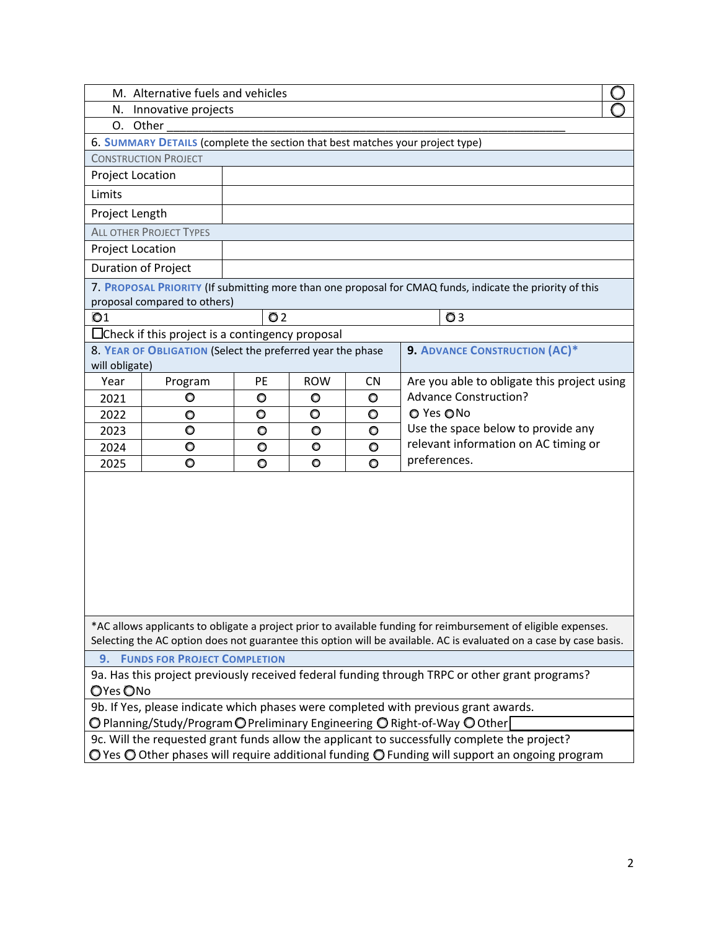| M. Alternative fuels and vehicles                                                                                                                                                                                                    |                                                            |                |            |           |                                                                                                               |
|--------------------------------------------------------------------------------------------------------------------------------------------------------------------------------------------------------------------------------------|------------------------------------------------------------|----------------|------------|-----------|---------------------------------------------------------------------------------------------------------------|
| N. Innovative projects                                                                                                                                                                                                               |                                                            |                |            |           |                                                                                                               |
| O. Other                                                                                                                                                                                                                             |                                                            |                |            |           |                                                                                                               |
| 6. SUMMARY DETAILS (complete the section that best matches your project type)                                                                                                                                                        |                                                            |                |            |           |                                                                                                               |
| <b>CONSTRUCTION PROJECT</b>                                                                                                                                                                                                          |                                                            |                |            |           |                                                                                                               |
| <b>Project Location</b>                                                                                                                                                                                                              |                                                            |                |            |           |                                                                                                               |
| Limits                                                                                                                                                                                                                               |                                                            |                |            |           |                                                                                                               |
| Project Length                                                                                                                                                                                                                       |                                                            |                |            |           |                                                                                                               |
|                                                                                                                                                                                                                                      | <b>ALL OTHER PROJECT TYPES</b>                             |                |            |           |                                                                                                               |
| Project Location                                                                                                                                                                                                                     |                                                            |                |            |           |                                                                                                               |
| <b>Duration of Project</b>                                                                                                                                                                                                           |                                                            |                |            |           |                                                                                                               |
|                                                                                                                                                                                                                                      |                                                            |                |            |           | 7. PROPOSAL PRIORITY (If submitting more than one proposal for CMAQ funds, indicate the priority of this      |
|                                                                                                                                                                                                                                      | proposal compared to others)                               |                |            |           |                                                                                                               |
| O <sub>1</sub>                                                                                                                                                                                                                       |                                                            | Q <sub>2</sub> |            |           | <b>O</b> <sub>3</sub>                                                                                         |
|                                                                                                                                                                                                                                      | $\Box$ Check if this project is a contingency proposal     |                |            |           |                                                                                                               |
| will obligate)                                                                                                                                                                                                                       | 8. YEAR OF OBLIGATION (Select the preferred year the phase |                |            |           | <b>9. ADVANCE CONSTRUCTION (AC)*</b>                                                                          |
| Year                                                                                                                                                                                                                                 | Program                                                    | PE             | <b>ROW</b> | <b>CN</b> | Are you able to obligate this project using                                                                   |
| 2021                                                                                                                                                                                                                                 | O                                                          | O              | O          | $\circ$   | <b>Advance Construction?</b>                                                                                  |
| 2022                                                                                                                                                                                                                                 | $\circ$                                                    | $\circ$        | O          | $\circ$   | O Yes ONo                                                                                                     |
| 2023                                                                                                                                                                                                                                 | $\circ$                                                    | $\circ$        | O          | $\circ$   | Use the space below to provide any                                                                            |
| 2024                                                                                                                                                                                                                                 | O                                                          | O              | O          | O         | relevant information on AC timing or                                                                          |
| 2025                                                                                                                                                                                                                                 | $\circ$                                                    | $\circ$        | O          | $\bullet$ | preferences.                                                                                                  |
|                                                                                                                                                                                                                                      |                                                            |                |            |           |                                                                                                               |
| *AC allows applicants to obligate a project prior to available funding for reimbursement of eligible expenses.<br>Selecting the AC option does not guarantee this option will be available. AC is evaluated on a case by case basis. |                                                            |                |            |           |                                                                                                               |
| <b>9. FUNDS FOR PROJECT COMPLETION</b>                                                                                                                                                                                               |                                                            |                |            |           |                                                                                                               |
| 9a. Has this project previously received federal funding through TRPC or other grant programs?<br>OYes ONo                                                                                                                           |                                                            |                |            |           |                                                                                                               |
| 9b. If Yes, please indicate which phases were completed with previous grant awards.                                                                                                                                                  |                                                            |                |            |           |                                                                                                               |
|                                                                                                                                                                                                                                      |                                                            |                |            |           | $\bigcirc$ Planning/Study/Program $\bigcirc$ Preliminary Engineering $\bigcirc$ Right-of-Way $\bigcirc$ Other |
|                                                                                                                                                                                                                                      |                                                            |                |            |           | 9c. Will the requested grant funds allow the applicant to successfully complete the project?                  |
|                                                                                                                                                                                                                                      |                                                            |                |            |           |                                                                                                               |

O Yes O Other phases will require additional funding O Funding will support an ongoing program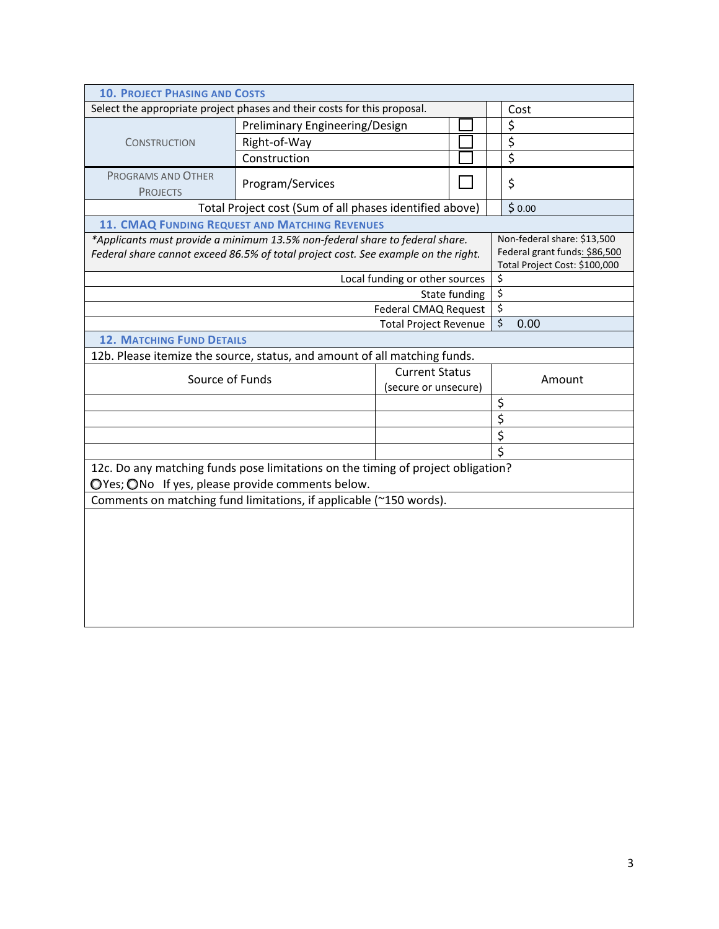| <b>10. PROJECT PHASING AND COSTS</b>                                               |                                                                                                    |                                |               |                          |                               |
|------------------------------------------------------------------------------------|----------------------------------------------------------------------------------------------------|--------------------------------|---------------|--------------------------|-------------------------------|
| Select the appropriate project phases and their costs for this proposal.           |                                                                                                    |                                |               |                          | Cost                          |
| <b>CONSTRUCTION</b>                                                                | Preliminary Engineering/Design                                                                     |                                |               |                          | \$                            |
|                                                                                    | Right-of-Way                                                                                       |                                |               |                          | $\overline{\xi}$              |
|                                                                                    | Construction                                                                                       |                                |               |                          | $\overline{\xi}$              |
| PROGRAMS AND OTHER<br><b>PROJECTS</b>                                              | Program/Services                                                                                   |                                |               |                          | \$                            |
|                                                                                    | Total Project cost (Sum of all phases identified above)                                            |                                |               |                          | \$0.00                        |
|                                                                                    | 11. CMAQ FUNDING REQUEST AND MATCHING REVENUES                                                     |                                |               |                          |                               |
| *Applicants must provide a minimum 13.5% non-federal share to federal share.       |                                                                                                    |                                |               |                          | Non-federal share: \$13,500   |
| Federal share cannot exceed 86.5% of total project cost. See example on the right. |                                                                                                    |                                |               |                          | Federal grant funds: \$86,500 |
|                                                                                    |                                                                                                    |                                |               | $\overline{\mathbf{S}}$  | Total Project Cost: \$100,000 |
|                                                                                    |                                                                                                    | Local funding or other sources | State funding | $\overline{\mathcal{S}}$ |                               |
|                                                                                    |                                                                                                    | Federal CMAQ Request           |               | $\overline{\mathbf{S}}$  |                               |
|                                                                                    |                                                                                                    |                                |               | $\zeta$                  | 0.00                          |
| <b>Total Project Revenue</b><br><b>12. MATCHING FUND DETAILS</b>                   |                                                                                                    |                                |               |                          |                               |
|                                                                                    |                                                                                                    |                                |               |                          |                               |
|                                                                                    | 12b. Please itemize the source, status, and amount of all matching funds.<br><b>Current Status</b> |                                |               |                          |                               |
|                                                                                    | Source of Funds                                                                                    |                                |               |                          | Amount                        |
| (secure or unsecure)                                                               |                                                                                                    |                                |               | \$                       |                               |
|                                                                                    |                                                                                                    |                                |               | $\overline{\xi}$         |                               |
|                                                                                    |                                                                                                    |                                |               | $\overline{\xi}$         |                               |
|                                                                                    |                                                                                                    |                                |               | $\overline{\xi}$         |                               |
| 12c. Do any matching funds pose limitations on the timing of project obligation?   |                                                                                                    |                                |               |                          |                               |
| OYes; ONo If yes, please provide comments below.                                   |                                                                                                    |                                |               |                          |                               |
| Comments on matching fund limitations, if applicable (~150 words).                 |                                                                                                    |                                |               |                          |                               |
|                                                                                    |                                                                                                    |                                |               |                          |                               |
|                                                                                    |                                                                                                    |                                |               |                          |                               |
|                                                                                    |                                                                                                    |                                |               |                          |                               |
|                                                                                    |                                                                                                    |                                |               |                          |                               |
|                                                                                    |                                                                                                    |                                |               |                          |                               |
|                                                                                    |                                                                                                    |                                |               |                          |                               |
|                                                                                    |                                                                                                    |                                |               |                          |                               |
|                                                                                    |                                                                                                    |                                |               |                          |                               |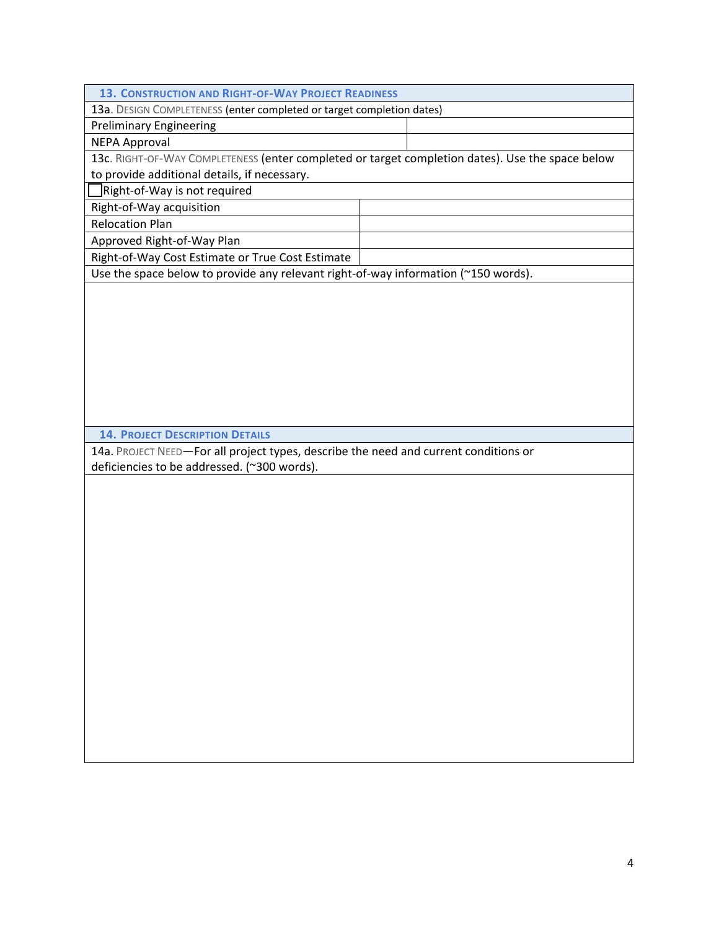| <b>13. CONSTRUCTION AND RIGHT-OF-WAY PROJECT READINESS</b>                                       |  |  |  |  |
|--------------------------------------------------------------------------------------------------|--|--|--|--|
| 13a. DESIGN COMPLETENESS (enter completed or target completion dates)                            |  |  |  |  |
| <b>Preliminary Engineering</b>                                                                   |  |  |  |  |
| NEPA Approval                                                                                    |  |  |  |  |
| 13c. RIGHT-OF-WAY COMPLETENESS (enter completed or target completion dates). Use the space below |  |  |  |  |
| to provide additional details, if necessary.                                                     |  |  |  |  |
| Right-of-Way is not required                                                                     |  |  |  |  |
| Right-of-Way acquisition                                                                         |  |  |  |  |
| <b>Relocation Plan</b>                                                                           |  |  |  |  |
| Approved Right-of-Way Plan                                                                       |  |  |  |  |
| Right-of-Way Cost Estimate or True Cost Estimate                                                 |  |  |  |  |

Use the space below to provide any relevant right-of-way information (~150 words).

**14. PROJECT DESCRIPTION DETAILS**

14a. PROJECT NEED—For all project types, describe the need and current conditions or deficiencies to be addressed. (~300 words).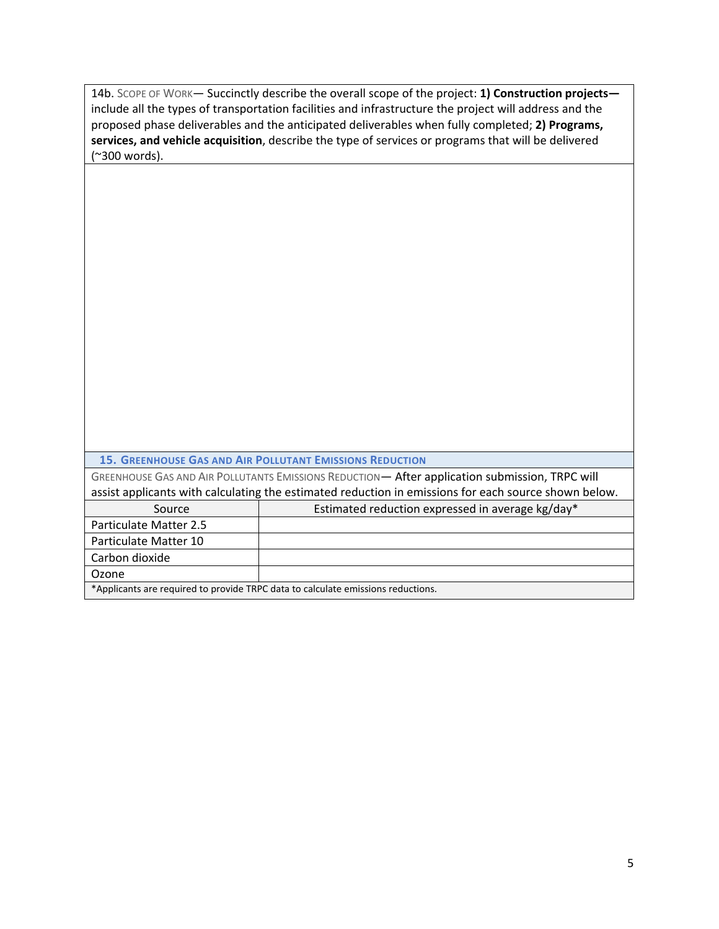| 14b. SCOPE OF WORK— Succinctly describe the overall scope of the project: 1) Construction projects—    |
|--------------------------------------------------------------------------------------------------------|
| include all the types of transportation facilities and infrastructure the project will address and the |
| proposed phase deliverables and the anticipated deliverables when fully completed; 2) Programs,        |
| services, and vehicle acquisition, describe the type of services or programs that will be delivered    |
| (~300 words).                                                                                          |

| <b>15. GREENHOUSE GAS AND AIR POLLUTANT EMISSIONS REDUCTION</b> |  |  |
|-----------------------------------------------------------------|--|--|
|-----------------------------------------------------------------|--|--|

GREENHOUSE GAS AND AIR POLLUTANTS EMISSIONS REDUCTION— After application submission, TRPC will assist applicants with calculating the estimated reduction in emissions for each source shown below.

| Source                                                                          | Estimated reduction expressed in average kg/day* |  |  |
|---------------------------------------------------------------------------------|--------------------------------------------------|--|--|
| Particulate Matter 2.5                                                          |                                                  |  |  |
| Particulate Matter 10                                                           |                                                  |  |  |
| Carbon dioxide                                                                  |                                                  |  |  |
| Ozone                                                                           |                                                  |  |  |
| *Applicants are required to provide TRPC data to calculate emissions reductions |                                                  |  |  |

\*Applicants are required to provide TRPC data to calculate emissions reductions.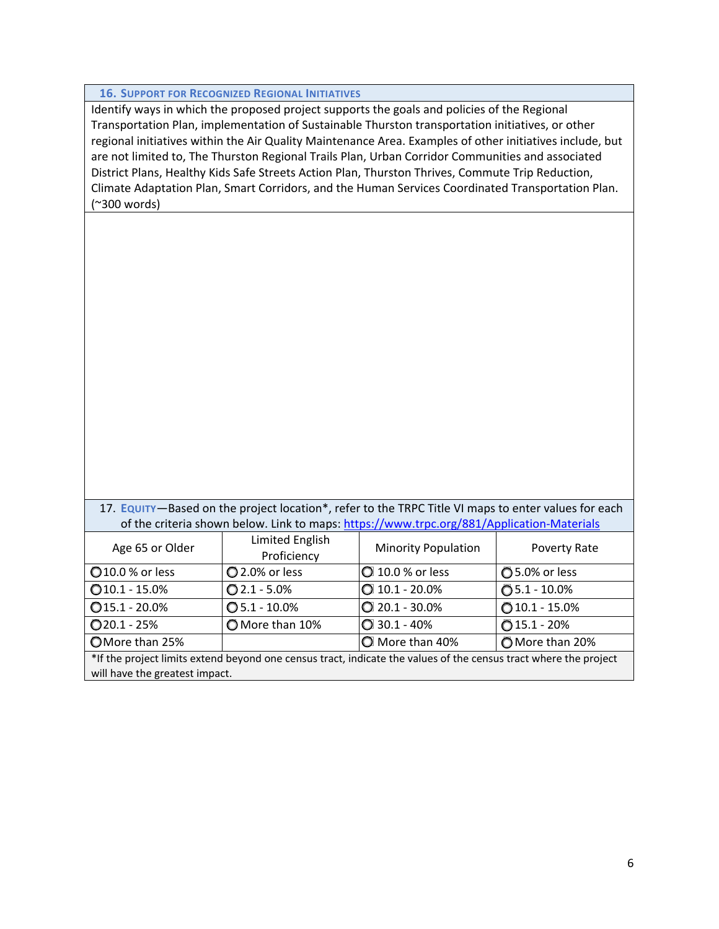|                                                                                                                                                                                                                                                                                                                                                                                                                                                                                                                                                                                                                          | <b>16. SUPPORT FOR RECOGNIZED REGIONAL INITIATIVES</b> |                            |                  |  |  |  |
|--------------------------------------------------------------------------------------------------------------------------------------------------------------------------------------------------------------------------------------------------------------------------------------------------------------------------------------------------------------------------------------------------------------------------------------------------------------------------------------------------------------------------------------------------------------------------------------------------------------------------|--------------------------------------------------------|----------------------------|------------------|--|--|--|
| Identify ways in which the proposed project supports the goals and policies of the Regional<br>Transportation Plan, implementation of Sustainable Thurston transportation initiatives, or other<br>regional initiatives within the Air Quality Maintenance Area. Examples of other initiatives include, but<br>are not limited to, The Thurston Regional Trails Plan, Urban Corridor Communities and associated<br>District Plans, Healthy Kids Safe Streets Action Plan, Thurston Thrives, Commute Trip Reduction,<br>Climate Adaptation Plan, Smart Corridors, and the Human Services Coordinated Transportation Plan. |                                                        |                            |                  |  |  |  |
| (~300 words)                                                                                                                                                                                                                                                                                                                                                                                                                                                                                                                                                                                                             |                                                        |                            |                  |  |  |  |
| 17. EQUITY-Based on the project location*, refer to the TRPC Title VI maps to enter values for each<br>of the criteria shown below. Link to maps: https://www.trpc.org/881/Application-Materials                                                                                                                                                                                                                                                                                                                                                                                                                         |                                                        |                            |                  |  |  |  |
| Age 65 or Older                                                                                                                                                                                                                                                                                                                                                                                                                                                                                                                                                                                                          | Limited English<br>Proficiency                         | <b>Minority Population</b> | Poverty Rate     |  |  |  |
| 010.0 % or less                                                                                                                                                                                                                                                                                                                                                                                                                                                                                                                                                                                                          | 2.0% or less                                           | 10.0 % or less             | ◯ 5.0% or less   |  |  |  |
| $Q$ 10.1 - 15.0%                                                                                                                                                                                                                                                                                                                                                                                                                                                                                                                                                                                                         | $Q$ 2.1 - 5.0%                                         | $Q$ 10.1 - 20.0%           | $①5.1 - 10.0%$   |  |  |  |
| $Q$ 15.1 - 20.0%                                                                                                                                                                                                                                                                                                                                                                                                                                                                                                                                                                                                         | $O$ 5.1 - 10.0%                                        | $Q$ 20.1 - 30.0%           | $010.1 - 15.0\%$ |  |  |  |
| $Q$ 20.1 - 25%                                                                                                                                                                                                                                                                                                                                                                                                                                                                                                                                                                                                           | O More than 10%                                        | $Q$ 30.1 - 40%             | $015.1 - 20%$    |  |  |  |
| OMore than 25%                                                                                                                                                                                                                                                                                                                                                                                                                                                                                                                                                                                                           | C More than 40%<br>More than 20%                       |                            |                  |  |  |  |
| *If the project limits extend beyond one census tract, indicate the values of the census tract where the project<br>will have the greatest impact.                                                                                                                                                                                                                                                                                                                                                                                                                                                                       |                                                        |                            |                  |  |  |  |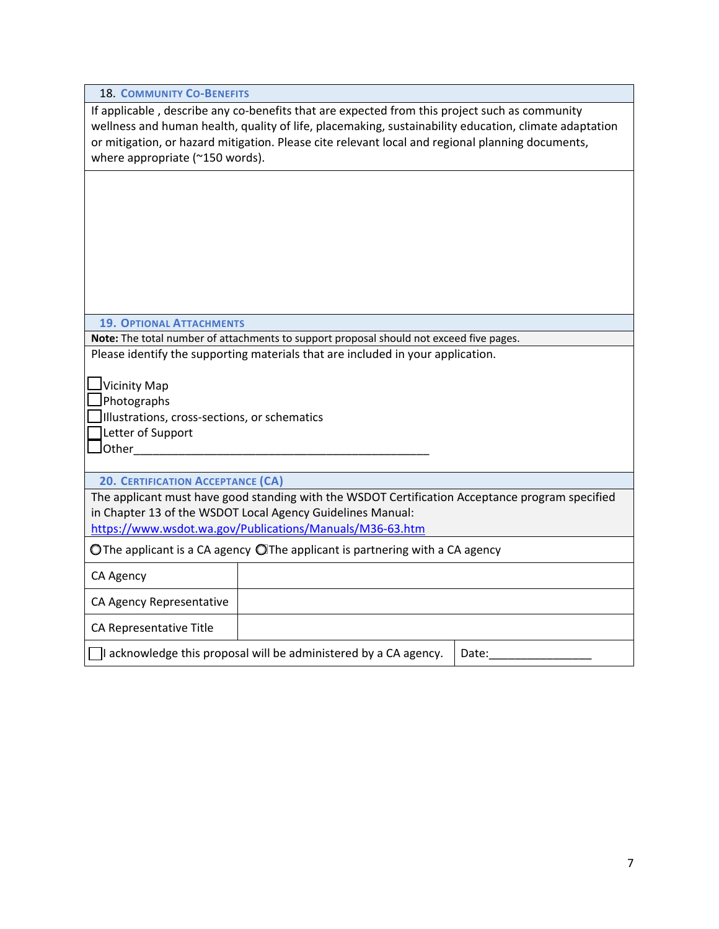If applicable, describe any co-benefits that are expected from this project such as community wellness and human health, quality of life, placemaking, sustainability education, climate adaptation or mitigation, or hazard mitigation. Please cite relevant local and regional planning documents, where appropriate (~150 words).

## **19. OPTIONAL ATTACHMENTS**

**Note:** The total number of attachments to support proposal should not exceed five pages. Please identify the supporting materials that are included in your application.

 $\Box$ Vicinity Map

Photographs

Illustrations, cross‐sections, or schematics

Letter of Support

 $\sqcup$ Other

**20. CERTIFICATION ACCEPTANCE (CA)**

The applicant must have good standing with the WSDOT Certification Acceptance program specified in Chapter 13 of the WSDOT Local Agency Guidelines Manual:

https://www.wsdot.wa.gov/Publications/Manuals/M36‐63.htm

O The applicant is a CA agency O The applicant is partnering with a CA agency

CA Agency

CA Agency Representative

CA Representative Title

 $\Box$ I acknowledge this proposal will be administered by a CA agency. | Date: $\_$